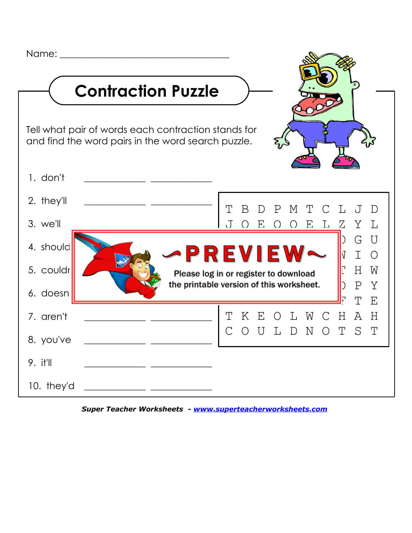Name:  $\Box$ **Contraction Puzzle** Tell what pair of words each contraction stands for and find the word pairs in the word search puzzle. 1. don't \_\_\_\_\_\_\_\_\_\_\_\_\_ \_\_\_\_\_\_\_\_\_\_\_\_\_ 2. they'll  $3.$  we'll 4. should 5. couldr 6. doesn 7. aren't 8. you've 9. it'll \_\_\_\_\_\_\_\_\_\_\_\_\_ \_\_\_\_\_\_\_\_\_\_\_\_\_ 10. they'd T B D P M T C L J D J O E O O E L Z Y L  $\blacksquare$  . . .  $\blacksquare$   $\blacksquare$   $\blacksquare$   $\blacksquare$   $\blacksquare$   $\blacksquare$   $\blacksquare$   $\blacksquare$   $\blacksquare$   $\blacksquare$   $\blacksquare$   $\blacksquare$   $\blacksquare$   $\blacksquare$   $\blacksquare$   $\blacksquare$   $\blacksquare$   $\blacksquare$   $\blacksquare$   $\blacksquare$   $\blacksquare$   $\blacksquare$   $\blacksquare$   $\blacksquare$   $\blacksquare$   $\blacksquare$   $\blacksquare$   $\blacksquare$   $\blacksquare$   $\blacksquare$ PREVIEW~ VIO Please log in or register to download  $\blacksquare^{\complement}$  H W the printable version of this worksheet.  $\blacksquare$ )  $\blacksquare$   $\blacksquare$ —————————<mark>—</mark>р т е T K E O L W C H A H C O U L D N O T S T

*[Super Teacher Worksheets - www.superteacherworksheets.com](http://www.superteacherworksheets.com/)*